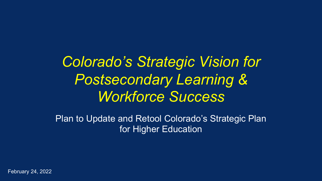*Colorado's Strategic Vision for Postsecondary Learning & Workforce Success*

Plan to Update and Retool Colorado's Strategic Plan for Higher Education

February 24, 2022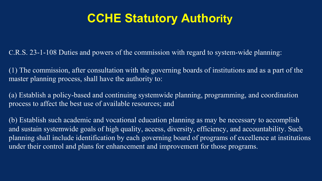## **CCHE Statutory Authority**

C.R.S. 23-1-108 Duties and powers of the commission with regard to system-wide planning:

(1) The commission, after consultation with the governing boards of institutions and as a part of the master planning process, shall have the authority to:

(a) Establish a policy-based and continuing systemwide planning, programming, and coordination process to affect the best use of available resources; and

(b) Establish such academic and vocational education planning as may be necessary to accomplish and sustain systemwide goals of high quality, access, diversity, efficiency, and accountability. Such planning shall include identification by each governing board of programs of excellence at institutions under their control and plans for enhancement and improvement for those programs.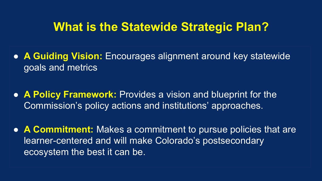### **What is the Statewide Strategic Plan?**

- **A Guiding Vision:** Encourages alignment around key statewide goals and metrics
- **A Policy Framework:** Provides a vision and blueprint for the Commission's policy actions and institutions' approaches.
- **A Commitment:** Makes a commitment to pursue policies that are learner-centered and will make Colorado's postsecondary ecosystem the best it can be.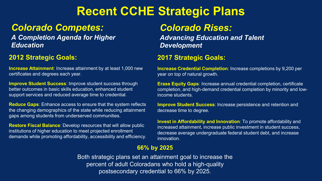### **Recent CCHE Strategic Plans**

### *Colorado Competes:*

*A Completion Agenda for Higher Education*

#### **2012 Strategic Goals:**

**Increase Attainment**: Increase attainment by at least 1,000 new certificates and degrees each year.

**Improve Student Success**: Improve student success through better outcomes in basic skills education, enhanced student support services and reduced average time to credential.

**Reduce Gaps**: Enhance access to ensure that the system reflects the changing demographics of the state while reducing attainment gaps among students from underserved communities.

**Restore Fiscal Balance**: Develop resources that will allow public institutions of higher education to meet projected enrollment demands while promoting affordability, accessibility and efficiency.

### *Colorado Rises:*

*Advancing Education and Talent Development*

#### **2017 Strategic Goals:**

**Increase Credential Completion**: Increase completions by 9,200 per year on top of natural growth.

**Erase Equity Gaps**: Increase annual credential completion, certificate completion, and high-demand credential completion by minority and lowincome students.

**Improve Student Success**: Increase persistence and retention and decrease time to degree.

**Invest in Affordability and Innovation**: To promote affordability and increased attainment, increase public investment in student success, decrease average undergraduate federal student debt, and increase innovation.

#### **66% by 2025**

Both strategic plans set an attainment goal to increase the percent of adult Coloradans who hold a high-quality postsecondary credential to 66% by 2025.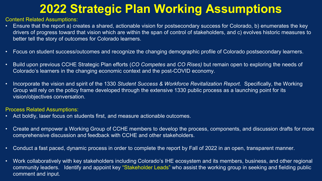# **2022 Strategic Plan Working Assumptions**

Content Related Assumptions:

- Ensure that the report a) creates a shared, actionable vision for postsecondary success for Colorado, b) enumerates the key drivers of progress toward that vision which are within the span of control of stakeholders, and c) evolves historic measures to better tell the story of outcomes for Colorado learners.
- Focus on student success/outcomes and recognize the changing demographic profile of Colorado postsecondary learners.
- Build upon previous CCHE Strategic Plan efforts (*CO Competes* and *CO Rises)* but remain open to exploring the needs of Colorado's learners in the changing economic context and the post-COVID economy.
- Incorporate the vision and spirit of the 1330 *Student Success & Workforce Revitalization Report.* Specifically, the Working Group will rely on the policy frame developed through the extensive 1330 public process as a launching point for its vision/objectives conversation.

Process Related Assumptions:

- Act boldly, laser focus on students first, and measure actionable outcomes.
- Create and empower a Working Group of CCHE members to develop the process, components, and discussion drafts for more comprehensive discussion and feedback with CCHE and other stakeholders.
- Conduct a fast paced, dynamic process in order to complete the report by Fall of 2022 in an open, transparent manner.
- Work collaboratively with key stakeholders including Colorado's IHE ecosystem and its members, business, and other regional community leaders. Identify and appoint key "Stakeholder Leads" who assist the working group in seeking and fielding public comment and input.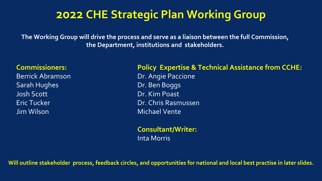### **2022 CHE Strategic Plan Working Group**

**The Working Group will drive the process and serve as a liaison between the full Commission, the Department, institutions and stakeholders.** 

#### **Commissioners:**

Berrick Abramson Sarah Hughes Josh Scott Eric Tucker Jim Wilson

#### **Policy Expertise & Technical Assistance from CCHE:**

Dr. Angie Paccione Dr. Ben Boggs Dr. Kim Poast Dr. Chris Rasmussen Michael Vente

**Consultant/Writer:** Inta Morris

**Will outline stakeholder process, feedback circles, and opportunities for national and local best practise in later slides.**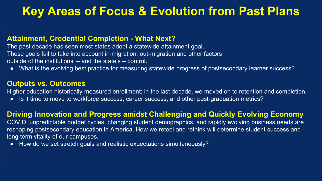# **Key Areas of Focus & Evolution from Past Plans**

#### **Attainment, Credential Completion - What Next?**

The past decade has seen most states adopt a statewide attainment goal. These goals fail to take into account in-migration, out-migration and other factors outside of the institutions' – and the state's – control.

● What is the evolving best practice for measuring statewide progress of postsecondary learner success?

#### **Outputs vs. Outcomes**

Higher education historically measured enrollment; in the last decade, we moved on to retention and completion.

• Is it time to move to workforce success, career success, and other post-graduation metrics?

#### **Driving Innovation and Progress amidst Challenging and Quickly Evolving Economy**

COVID, unpredictable budget cycles, changing student demographics, and rapidly evolving business needs are reshaping postsecondary education in America. How we retool and rethink will determine student success and long term vitality of our campuses.

● How do we set stretch goals and realistic expectations simultaneously?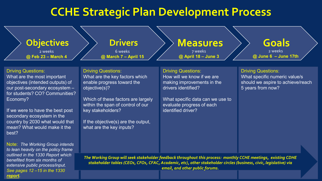### **CCHE Strategic Plan Development Process**



what are the key inputs?

Note: *The Working Group intends to lean heavily on the policy frame outlined in the 1330 Report which benefited from six months of extensive public process/input. See pages 12 –15 in the 1330 [report.](https://highered.colorado.gov/Publications/Reports/Legislative/1330/2021_SSWR_Task_Force_Report.pdf)*

mean? What would make it the

best?

*The Working Group will seek stakeholder feedback throughout this process: monthly CCHE meetings, existing CDHE stakeholder tables (CEOs, CFOs, CFAC, Academic, etc), other stakeholder circles (business, civic, legislative) via* 

*email, and other public forums.*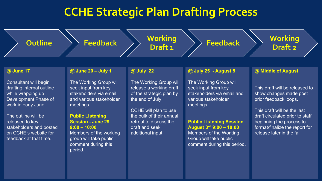### **CCHE Strategic Plan Drafting Process**

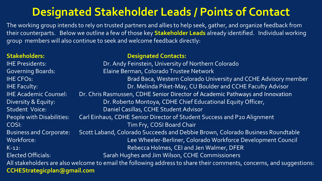### **Designated Stakeholder Leads / Points of Contact**

The working group intends to rely on trusted partners and allies to help seek, gather, and organize feedback from their counterparts. Below we outline a few of those key **Stakeholder Leads** already identified. Individual working group members will also continue to seek and welcome feedback directly:

| <b>Stakeholders:</b>                                                                                                 | <b>Designated Contacts:</b>                                                    |
|----------------------------------------------------------------------------------------------------------------------|--------------------------------------------------------------------------------|
| <b>IHE Presidents:</b>                                                                                               | Dr. Andy Feinstein, University of Northern Colorado                            |
| <b>Governing Boards:</b>                                                                                             | Elaine Berman, Colorado Trustee Network                                        |
| <b>IHE CFOs:</b>                                                                                                     | Brad Baca, Western Colorado University and CCHE Advisory member                |
| <b>IHE Faculty:</b>                                                                                                  | Dr. Melinda Piket-May, CU Boulder and CCHE Faculty Advisor                     |
| <b>IHE Academic Counsel:</b>                                                                                         | Dr. Chris Rasmussen, CDHE Senior Director of Academic Pathways and Innovation  |
| Diversity & Equity:                                                                                                  | Dr. Roberto Montoya, CDHE Chief Educational Equity Officer,                    |
| Student Voice:                                                                                                       | Daniel Casillas, CCHE Student Advisor                                          |
| People with Disabilities:                                                                                            | Carl Einhaus, CDHE Senior Director of Student Success and P20 Alignment        |
| COSI:                                                                                                                | Tim Fry, COSI Board Chair                                                      |
| <b>Business and Corporate:</b>                                                                                       | Scott Laband, Colorado Succeeds and Debbie Brown, Colorado Business Roundtable |
| Workforce:                                                                                                           | Lee Wheeler-Berliner, Colorado Workforce Development Council                   |
| $K-12$ :                                                                                                             | Rebecca Holmes, CEI and Jen Walmer, DFER                                       |
| <b>Elected Officials:</b>                                                                                            | Sarah Hughes and Jim Wilson, CCHE Commissioners                                |
| All stakeholders are also welcome to email the following address to share their comments, concerns, and suggestions: |                                                                                |
| <b>CCHEStrategicplan@gmail.com</b>                                                                                   |                                                                                |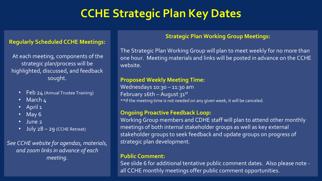# **CCHE Strategic Plan Key Dates**

#### **Regularly Scheduled CCHE Meetings:**

At each meeting, components of the strategic plan/process will be highlighted, discussed, and feedback sought.

- Feb 24 (Annual Trustee Training)
- March 4
- April 1
- May 6
- June 2
- July 28 29 (CCHE Retreat)

*See CCHE website for agendas, materials, and zoom links in advance of each meeting.*

#### **Strategic Plan Working Group Meetings:**

The Strategic Plan Working Group will plan to meet weekly for no more than one hour. Meeting materials and links will be posted in advance on the CCHE website.

#### **Proposed Weekly Meeting Time:**

Wednesdays 10:30 - 11:30 am February  $16th$  – August  $31^{st}$ \*\*If the meeting time is not needed on any given week, it will be canceled.

#### **Ongoing Proactive Feedback Loop:**

Working Group members and CDHE staff will plan to attend other monthly meetings of both internal stakeholder groups as well as key external stakeholder groups to seek feedback and update groups on progress of strategic plan development.

#### **Public Comment:**

See slide 6 for additional tentative public comment dates. Also please note all CCHE monthly meetings offer public comment opportunities.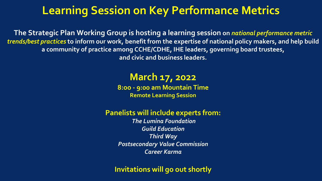### **Learning Session on Key Performance Metrics**

**The Strategic Plan Working Group is hosting a learning session on** *national performance metric trends/best practices* **to inform our work, benefit from the expertise of national policy makers, and help build a community of practice among CCHE/CDHE, IHE leaders, governing board trustees, and civic and business leaders.**

### **March 17, 2022**

**8:oo - 9:00 am Mountain Time Remote Learning Session**

### **Panelists will include experts from:**

*The Lumina Foundation Guild Education Third Way Postsecondary Value Commission Career Karma*

### **Invitations will go out shortly**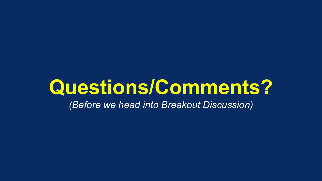# **Questions/Comments?**

*(Before we head into Breakout Discussion)*